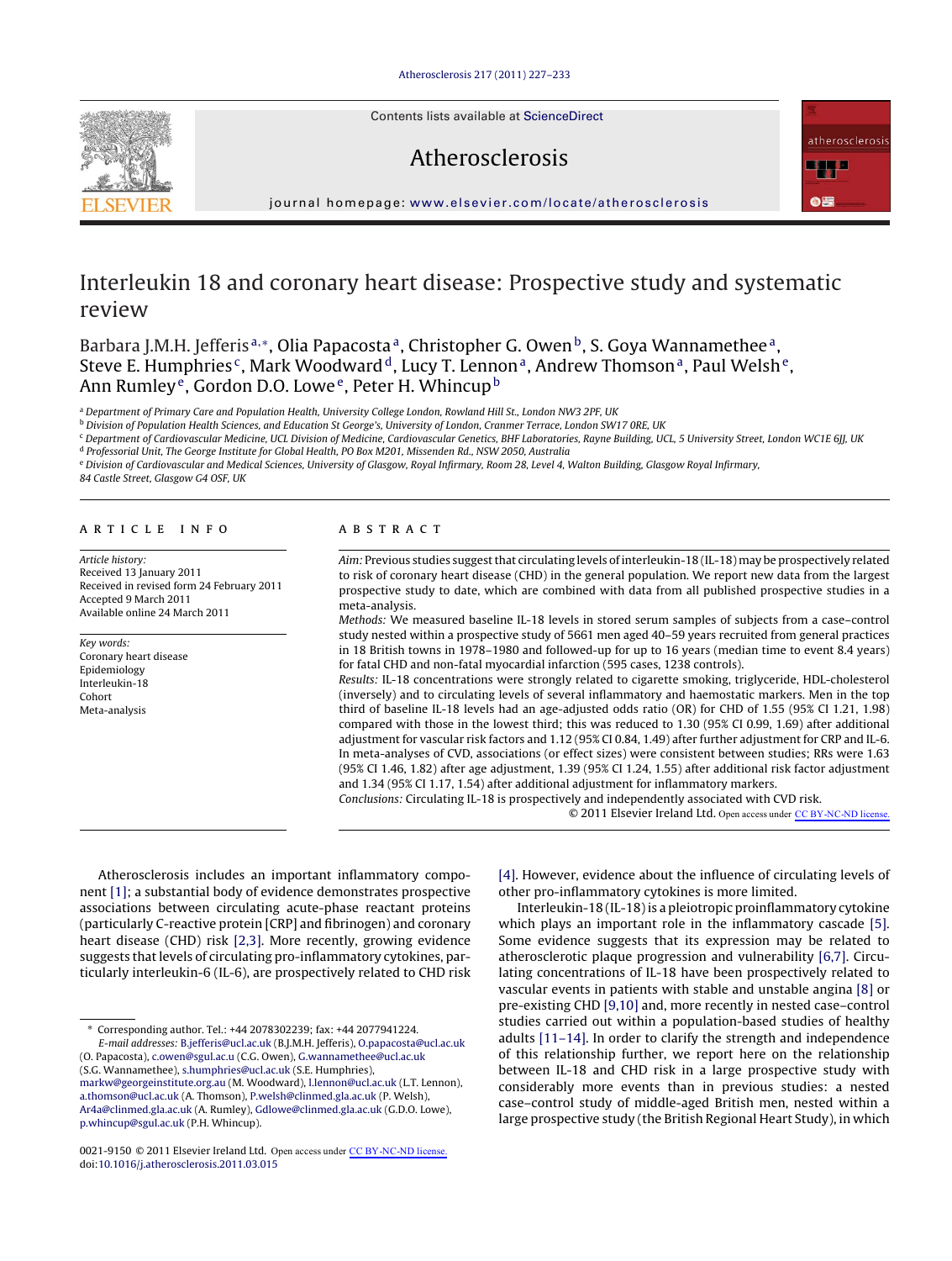Contents lists available at [ScienceDirect](http://www.sciencedirect.com/science/journal/00219150)

# Atherosclerosis



journal homepage: [www.elsevier.com/locate/atherosclerosis](http://www.elsevier.com/locate/atherosclerosis)

# Interleukin 18 and coronary heart disease: Prospective study and systematic review

Barbara J.M.H. Jefferis<sup>a,\*</sup>, Olia Papacosta<sup>a</sup>, Christopher G. Owen<sup>b</sup>, S. Gova Wannamethee<sup>a</sup>. Steve E. Humphries<sup>c</sup>, Mark Woodward<sup>d</sup>, Lucy T. Lennon<sup>a</sup>, Andrew Thomson<sup>a</sup>, Paul Welsh<sup>e</sup>, Ann Rumley<sup>e</sup>, Gordon D.O. Lowe<sup>e</sup>, Peter H. Whincup<sup>b</sup>

<sup>a</sup> Department of Primary Care and Population Health, University College London, Rowland Hill St., London NW3 2PF, UK

**b Division of Population Health Sciences, and Education St George's, University of London, Cranmer Terrace, London SW17 ORE, UK** 

<sup>c</sup> Department of Cardiovascular Medicine, UCL Division of Medicine, Cardiovascular Genetics, BHF Laboratories, Rayne Building, UCL, 5 University Street, London WC1E 6JJ, UK

<sup>d</sup> Professorial Unit, The George Institute for Global Health, PO Box M201, Missenden Rd., NSW 2050, Australia

e Division of Cardiovascular and Medical Sciences, University of Glasgow, Royal Infirmary, Room 28, Level 4, Walton Building, Glasgow Royal Infirmary,

84 Castle Street, Glasgow G4 OSF, UK

## article info

Article history: Received 13 January 2011 Received in revised form 24 February 2011 Accepted 9 March 2011 Available online 24 March 2011

#### Key words: Coronary heart disease Epidemiology Interleukin-18 Cohort Meta-analysis

## **ABSTRACT**

Aim: Previous studies suggest that circulating levels of interleukin-18 (IL-18) may be prospectively related to risk of coronary heart disease (CHD) in the general population. We report new data from the largest prospective study to date, which are combined with data from all published prospective studies in a meta-analysis.

Methods: We measured baseline IL-18 levels in stored serum samples of subjects from a case–control study nested within a prospective study of 5661 men aged 40–59 years recruited from general practices in 18 British towns in 1978–1980 and followed-up for up to 16 years (median time to event 8.4 years) for fatal CHD and non-fatal myocardial infarction (595 cases, 1238 controls).

Results: IL-18 concentrations were strongly related to cigarette smoking, triglyceride, HDL-cholesterol (inversely) and to circulating levels of several inflammatory and haemostatic markers. Men in the top third of baseline IL-18 levels had an age-adjusted odds ratio (OR) for CHD of 1.55 (95% CI 1.21, 1.98) compared with those in the lowest third; this was reduced to 1.30 (95% CI 0.99, 1.69) after additional adjustment for vascular risk factors and 1.12 (95% CI 0.84, 1.49) after further adjustment for CRP and IL-6. In meta-analyses of CVD, associations (or effect sizes) were consistent between studies; RRs were 1.63 (95% CI 1.46, 1.82) after age adjustment, 1.39 (95% CI 1.24, 1.55) after additional risk factor adjustment and 1.34 (95% CI 1.17, 1.54) after additional adjustment for inflammatory markers.

Conclusions: Circulating IL-18 is prospectively and independently associated with CVD risk.

© 2011 Elsevier Ireland Ltd. Open access under [CC BY-NC-ND license.](http://creativecommons.org/licenses/by-nc-nd/3.0/)

Atherosclerosis includes an important inflammatory component [\[1\];](#page-5-0) a substantial body of evidence demonstrates prospective associations between circulating acute-phase reactant proteins (particularly C-reactive protein [CRP] and fibrinogen) and coronary heart disease (CHD) risk [\[2,3\].](#page-5-0) More recently, growing evidence suggests that levels of circulating pro-inflammatory cytokines, particularly interleukin-6 (IL-6), are prospectively related to CHD risk

[\[4\]. H](#page-5-0)owever, evidence about the influence of circulating levels of other pro-inflammatory cytokines is more limited.

Interleukin-18 (IL-18) is a pleiotropic proinflammatory cytokine which plays an important role in the inflammatory cascade [\[5\].](#page-5-0) Some evidence suggests that its expression may be related to atherosclerotic plaque progression and vulnerability [\[6,7\]. C](#page-5-0)irculating concentrations of IL-18 have been prospectively related to vascular events in patients with stable and unstable angina [\[8\]](#page-5-0) or pre-existing CHD [\[9,10\]](#page-5-0) and, more recently in nested case–control studies carried out within a population-based studies of healthy adults [\[11–14\]. I](#page-5-0)n order to clarify the strength and independence of this relationship further, we report here on the relationship between IL-18 and CHD risk in a large prospective study with considerably more events than in previous studies: a nested case–control study of middle-aged British men, nested within a large prospective study (the British Regional Heart Study), in which

<sup>∗</sup> Corresponding author. Tel.: +44 2078302239; fax: +44 2077941224.

E-mail addresses: [B.jefferis@ucl.ac.uk](mailto:B.jefferis@ucl.ac.uk) (B.J.M.H. Jefferis), [O.papacosta@ucl.ac.uk](mailto:O.papacosta@ucl.ac.uk) (O. Papacosta), [c.owen@sgul.ac.u](mailto:c.owen@sgul.ac.u) (C.G. Owen), [G.wannamethee@ucl.ac.uk](mailto:G.wannamethee@ucl.ac.uk) (S.G. Wannamethee), [s.humphries@ucl.ac.uk](mailto:s.humphries@ucl.ac.uk) (S.E. Humphries),

[markw@georgeinstitute.org.au](mailto:markw@georgeinstitute.org.au) (M. Woodward), [l.lennon@ucl.ac.uk](mailto:l.lennon@ucl.ac.uk) (L.T. Lennon), [a.thomson@ucl.ac.uk](mailto:a.thomson@ucl.ac.uk) (A. Thomson), [P.welsh@clinmed.gla.ac.uk](mailto:P.welsh@clinmed.gla.ac.uk) (P. Welsh), [Ar4a@clinmed.gla.ac.uk](mailto:Ar4a@clinmed.gla.ac.uk) (A. Rumley), [Gdlowe@clinmed.gla.ac.uk](mailto:Gdlowe@clinmed.gla.ac.uk) (G.D.O. Lowe), [p.whincup@sgul.ac.uk](mailto:p.whincup@sgul.ac.uk) (P.H. Whincup).

<sup>0021-9150 © 2011</sup> Elsevier Ireland Ltd. Open access under [CC BY-NC-ND license.](http://creativecommons.org/licenses/by-nc-nd/3.0/)doi:[10.1016/j.atherosclerosis.2011.03.015](dx.doi.org/10.1016/j.atherosclerosis.2011.03.015)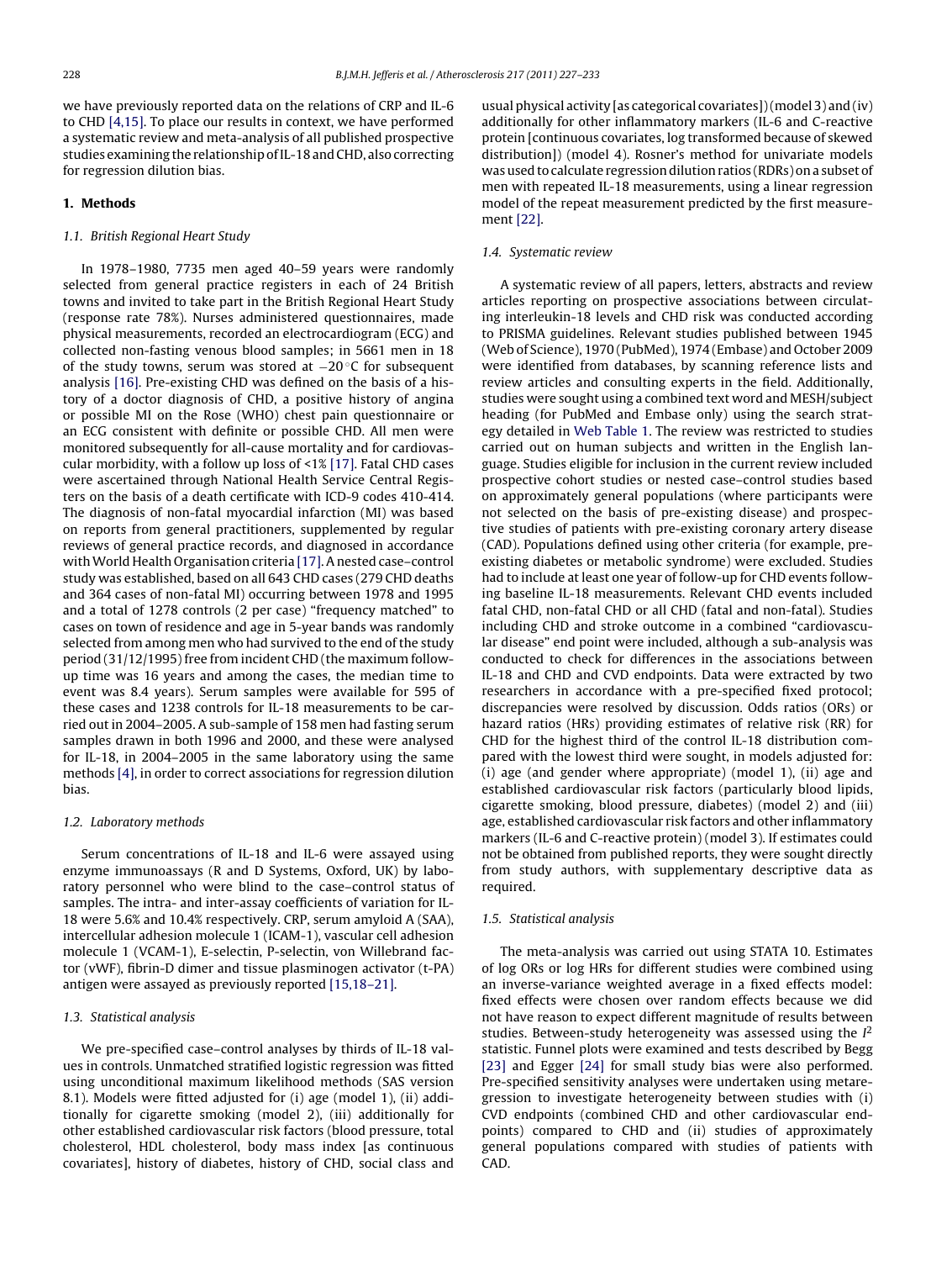we have previously reported data on the relations of CRP and IL-6 to CHD [\[4,15\]. T](#page-5-0)o place our results in context, we have performed a systematic review and meta-analysis of all published prospective studies examining the relationship of IL-18 and CHD, also correcting for regression dilution bias.

## **1. Methods**

## 1.1. British Regional Heart Study

In 1978–1980, 7735 men aged 40–59 years were randomly selected from general practice registers in each of 24 British towns and invited to take part in the British Regional Heart Study (response rate 78%). Nurses administered questionnaires, made physical measurements, recorded an electrocardiogram (ECG) and collected non-fasting venous blood samples; in 5661 men in 18 of the study towns, serum was stored at −20 ◦C for subsequent analysis [\[16\]. P](#page-5-0)re-existing CHD was defined on the basis of a history of a doctor diagnosis of CHD, a positive history of angina or possible MI on the Rose (WHO) chest pain questionnaire or an ECG consistent with definite or possible CHD. All men were monitored subsequently for all-cause mortality and for cardiovascular morbidity, with a follow up loss of <1% [\[17\]. F](#page-5-0)atal CHD cases were ascertained through National Health Service Central Registers on the basis of a death certificate with ICD-9 codes 410-414. The diagnosis of non-fatal myocardial infarction (MI) was based on reports from general practitioners, supplemented by regular reviews of general practice records, and diagnosed in accordance with World Health Organisation criteria [\[17\]. A](#page-5-0) nested case-control study was established, based on all 643 CHD cases (279 CHD deaths and 364 cases of non-fatal MI) occurring between 1978 and 1995 and a total of 1278 controls (2 per case) "frequency matched" to cases on town of residence and age in 5-year bands was randomly selected from among men who had survived to the end of the study period (31/12/1995) free from incident CHD (the maximum followup time was 16 years and among the cases, the median time to event was 8.4 years). Serum samples were available for 595 of these cases and 1238 controls for IL-18 measurements to be carried out in 2004–2005. A sub-sample of 158 men had fasting serum samples drawn in both 1996 and 2000, and these were analysed for IL-18, in 2004–2005 in the same laboratory using the same methods [\[4\], i](#page-5-0)n order to correct associations for regression dilution bias.

#### 1.2. Laboratory methods

Serum concentrations of IL-18 and IL-6 were assayed using enzyme immunoassays (R and D Systems, Oxford, UK) by laboratory personnel who were blind to the case–control status of samples. The intra- and inter-assay coefficients of variation for IL-18 were 5.6% and 10.4% respectively. CRP, serum amyloid A (SAA), intercellular adhesion molecule 1 (ICAM-1), vascular cell adhesion molecule 1 (VCAM-1), E-selectin, P-selectin, von Willebrand factor (vWF), fibrin-D dimer and tissue plasminogen activator (t-PA) antigen were assayed as previously reported [\[15,18–21\].](#page-5-0)

## 1.3. Statistical analysis

We pre-specified case–control analyses by thirds of IL-18 values in controls. Unmatched stratified logistic regression was fitted using unconditional maximum likelihood methods (SAS version 8.1). Models were fitted adjusted for (i) age (model 1), (ii) additionally for cigarette smoking (model 2), (iii) additionally for other established cardiovascular risk factors (blood pressure, total cholesterol, HDL cholesterol, body mass index [as continuous covariates], history of diabetes, history of CHD, social class and usual physical activity [as categorical covariates]) (model 3) and (iv) additionally for other inflammatory markers (IL-6 and C-reactive protein [continuous covariates, log transformed because of skewed distribution]) (model 4). Rosner's method for univariate models was used to calculate regression dilution ratios (RDRs) on a subset of men with repeated IL-18 measurements, using a linear regression model of the repeat measurement predicted by the first measurement [\[22\].](#page-5-0)

## 1.4. Systematic review

A systematic review of all papers, letters, abstracts and review articles reporting on prospective associations between circulating interleukin-18 levels and CHD risk was conducted according to PRISMA guidelines. Relevant studies published between 1945 (Web of Science), 1970 (PubMed), 1974 (Embase) and October 2009 were identified from databases, by scanning reference lists and review articles and consulting experts in the field. Additionally, studies were sought using a combined text word and MESH/subject heading (for PubMed and Embase only) using the search strategy detailed in [Web Table 1. T](#page-5-0)he review was restricted to studies carried out on human subjects and written in the English language. Studies eligible for inclusion in the current review included prospective cohort studies or nested case–control studies based on approximately general populations (where participants were not selected on the basis of pre-existing disease) and prospective studies of patients with pre-existing coronary artery disease (CAD). Populations defined using other criteria (for example, preexisting diabetes or metabolic syndrome) were excluded. Studies had to include at least one year of follow-up for CHD events following baseline IL-18 measurements. Relevant CHD events included fatal CHD, non-fatal CHD or all CHD (fatal and non-fatal). Studies including CHD and stroke outcome in a combined "cardiovascular disease" end point were included, although a sub-analysis was conducted to check for differences in the associations between IL-18 and CHD and CVD endpoints. Data were extracted by two researchers in accordance with a pre-specified fixed protocol; discrepancies were resolved by discussion. Odds ratios (ORs) or hazard ratios (HRs) providing estimates of relative risk (RR) for CHD for the highest third of the control IL-18 distribution compared with the lowest third were sought, in models adjusted for: (i) age (and gender where appropriate) (model 1), (ii) age and established cardiovascular risk factors (particularly blood lipids, cigarette smoking, blood pressure, diabetes) (model 2) and (iii) age, established cardiovascular risk factors and other inflammatory markers (IL-6 and C-reactive protein) (model 3). If estimates could not be obtained from published reports, they were sought directly from study authors, with supplementary descriptive data as required.

## 1.5. Statistical analysis

The meta-analysis was carried out using STATA 10. Estimates of log ORs or log HRs for different studies were combined using an inverse-variance weighted average in a fixed effects model: fixed effects were chosen over random effects because we did not have reason to expect different magnitude of results between studies. Between-study heterogeneity was assessed using the  $I^2$ statistic. Funnel plots were examined and tests described by Begg [\[23\]](#page-5-0) and Egger [\[24\]](#page-5-0) for small study bias were also performed. Pre-specified sensitivity analyses were undertaken using metaregression to investigate heterogeneity between studies with (i) CVD endpoints (combined CHD and other cardiovascular endpoints) compared to CHD and (ii) studies of approximately general populations compared with studies of patients with CAD.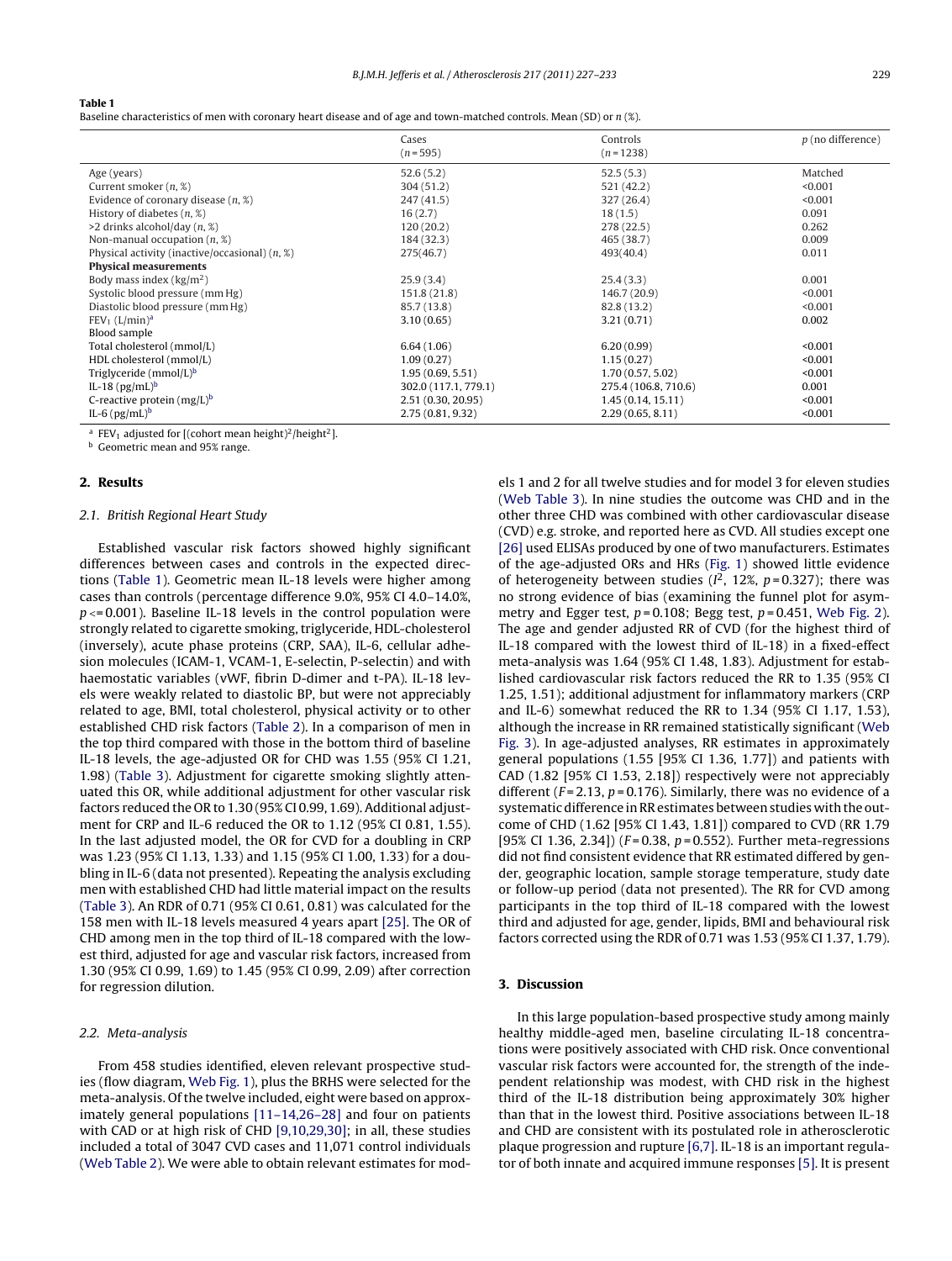#### **Table 1**

Baseline characteristics of men with coronary heart disease and of age and town-matched controls. Mean (SD) or n (%).

|                                                            | Cases<br>$(n = 595)$ | Controls<br>$(n=1238)$ | $p$ (no difference) |
|------------------------------------------------------------|----------------------|------------------------|---------------------|
|                                                            |                      |                        |                     |
| Age (years)                                                | 52.6(5.2)            | 52.5(5.3)              | Matched             |
| Current smoker $(n, \mathcal{X})$                          | 304(51.2)            | 521 (42.2)             | < 0.001             |
| Evidence of coronary disease $(n, \mathcal{X})$            | 247(41.5)            | 327(26.4)              | < 0.001             |
| History of diabetes $(n, \mathcal{X})$                     | 16(2.7)              | 18(1.5)                | 0.091               |
| $>2$ drinks alcohol/day $(n, %$                            | 120(20.2)            | 278 (22.5)             | 0.262               |
| Non-manual occupation $(n, \mathcal{X})$                   | 184 (32.3)           | 465 (38.7)             | 0.009               |
| Physical activity (inactive/occasional) $(n, \mathcal{X})$ | 275(46.7)            | 493(40.4)              | 0.011               |
| <b>Physical measurements</b>                               |                      |                        |                     |
| Body mass index $(kg/m2)$                                  | 25.9(3.4)            | 25.4(3.3)              | 0.001               |
| Systolic blood pressure (mm Hg)                            | 151.8(21.8)          | 146.7 (20.9)           | < 0.001             |
| Diastolic blood pressure (mm Hg)                           | 85.7 (13.8)          | 82.8 (13.2)            | < 0.001             |
| FEV <sub>1</sub> (L/min) <sup>a</sup>                      | 3.10(0.65)           | 3.21(0.71)             | 0.002               |
| Blood sample                                               |                      |                        |                     |
| Total cholesterol (mmol/L)                                 | 6.64(1.06)           | 6.20(0.99)             | < 0.001             |
| HDL cholesterol (mmol/L)                                   | 1.09(0.27)           | 1.15(0.27)             | < 0.001             |
| Triglyceride ( $mmol/L$ ) <sup>b</sup>                     | 1.95(0.69, 5.51)     | 1.70(0.57, 5.02)       | < 0.001             |
| IL-18 $(pg/mL)^b$                                          | 302.0 (117.1, 779.1) | 275.4 (106.8, 710.6)   | 0.001               |
| C-reactive protein $(mg/L)^b$                              | 2.51 (0.30, 20.95)   | 1.45(0.14, 15.11)      | < 0.001             |
| IL-6 $(pg/mL)^b$                                           | 2.75(0.81, 9.32)     | 2.29(0.65, 8.11)       | < 0.001             |

<sup>a</sup> FEV<sub>1</sub> adjusted for  $[$ (cohort mean height)<sup>2</sup>/height<sup>2</sup>].

**b** Geometric mean and 95% range.

## **2. Results**

## 2.1. British Regional Heart Study

Established vascular risk factors showed highly significant differences between cases and controls in the expected directions (Table 1). Geometric mean IL-18 levels were higher among cases than controls (percentage difference 9.0%, 95% CI 4.0–14.0%,  $p \le 0.001$ ). Baseline IL-18 levels in the control population were strongly related to cigarette smoking, triglyceride, HDL-cholesterol (inversely), acute phase proteins (CRP, SAA), IL-6, cellular adhesion molecules (ICAM-1, VCAM-1, E-selectin, P-selectin) and with haemostatic variables (vWF, fibrin D-dimer and t-PA). IL-18 levels were weakly related to diastolic BP, but were not appreciably related to age, BMI, total cholesterol, physical activity or to other established CHD risk factors ([Table 2\).](#page-3-0) In a comparison of men in the top third compared with those in the bottom third of baseline IL-18 levels, the age-adjusted OR for CHD was 1.55 (95% CI 1.21, 1.98) [\(Table 3\).](#page-3-0) Adjustment for cigarette smoking slightly attenuated this OR, while additional adjustment for other vascular risk factors reduced the OR to 1.30 (95% CI 0.99, 1.69). Additional adjustment for CRP and IL-6 reduced the OR to 1.12 (95% CI 0.81, 1.55). In the last adjusted model, the OR for CVD for a doubling in CRP was 1.23 (95% CI 1.13, 1.33) and 1.15 (95% CI 1.00, 1.33) for a doubling in IL-6 (data not presented). Repeating the analysis excluding men with established CHD had little material impact on the results ([Table 3\).](#page-3-0) An RDR of 0.71 (95% CI 0.61, 0.81) was calculated for the 158 men with IL-18 levels measured 4 years apart [\[25\]. T](#page-5-0)he OR of CHD among men in the top third of IL-18 compared with the lowest third, adjusted for age and vascular risk factors, increased from 1.30 (95% CI 0.99, 1.69) to 1.45 (95% CI 0.99, 2.09) after correction for regression dilution.

#### 2.2. Meta-analysis

From 458 studies identified, eleven relevant prospective studies (flow diagram, [Web Fig. 1\),](#page-5-0) plus the BRHS were selected for the meta-analysis. Of the twelve included, eight were based on approximately general populations [\[11–14,26–28\]](#page-5-0) and four on patients with CAD or at high risk of CHD [\[9,10,29,30\];](#page-5-0) in all, these studies included a total of 3047 CVD cases and 11,071 control individuals ([Web Table 2\).](#page-5-0) We were able to obtain relevant estimates for models 1 and 2 for all twelve studies and for model 3 for eleven studies [\(Web Table 3\).](#page-5-0) In nine studies the outcome was CHD and in the other three CHD was combined with other cardiovascular disease (CVD) e.g. stroke, and reported here as CVD. All studies except one [\[26\]](#page-5-0) used ELISAs produced by one of two manufacturers. Estimates of the age-adjusted ORs and HRs [\(Fig. 1\)](#page-4-0) showed little evidence of heterogeneity between studies ( $l^2$ , 12%,  $p = 0.327$ ); there was no strong evidence of bias (examining the funnel plot for asymmetry and Egger test,  $p = 0.108$ ; Begg test,  $p = 0.451$ , [Web Fig. 2\).](#page-5-0) The age and gender adjusted RR of CVD (for the highest third of IL-18 compared with the lowest third of IL-18) in a fixed-effect meta-analysis was 1.64 (95% CI 1.48, 1.83). Adjustment for established cardiovascular risk factors reduced the RR to 1.35 (95% CI 1.25, 1.51); additional adjustment for inflammatory markers (CRP and IL-6) somewhat reduced the RR to 1.34 (95% CI 1.17, 1.53), although the increase in RR remained statistically significant ([Web](#page-5-0) [Fig. 3\).](#page-5-0) In age-adjusted analyses, RR estimates in approximately general populations (1.55 [95% CI 1.36, 1.77]) and patients with CAD (1.82 [95% CI 1.53, 2.18]) respectively were not appreciably different ( $F = 2.13$ ,  $p = 0.176$ ). Similarly, there was no evidence of a systematic difference in RR estimates between studies with the outcome of CHD (1.62 [95% CI 1.43, 1.81]) compared to CVD (RR 1.79 [95% CI 1.36, 2.34]) ( $F = 0.38$ ,  $p = 0.552$ ). Further meta-regressions did not find consistent evidence that RR estimated differed by gender, geographic location, sample storage temperature, study date or follow-up period (data not presented). The RR for CVD among participants in the top third of IL-18 compared with the lowest third and adjusted for age, gender, lipids, BMI and behavioural risk factors corrected using the RDR of 0.71 was 1.53 (95% CI 1.37, 1.79).

## **3. Discussion**

In this large population-based prospective study among mainly healthy middle-aged men, baseline circulating IL-18 concentrations were positively associated with CHD risk. Once conventional vascular risk factors were accounted for, the strength of the independent relationship was modest, with CHD risk in the highest third of the IL-18 distribution being approximately 30% higher than that in the lowest third. Positive associations between IL-18 and CHD are consistent with its postulated role in atherosclerotic plaque progression and rupture [\[6,7\]. I](#page-5-0)L-18 is an important regulator of both innate and acquired immune responses [\[5\]. I](#page-5-0)t is present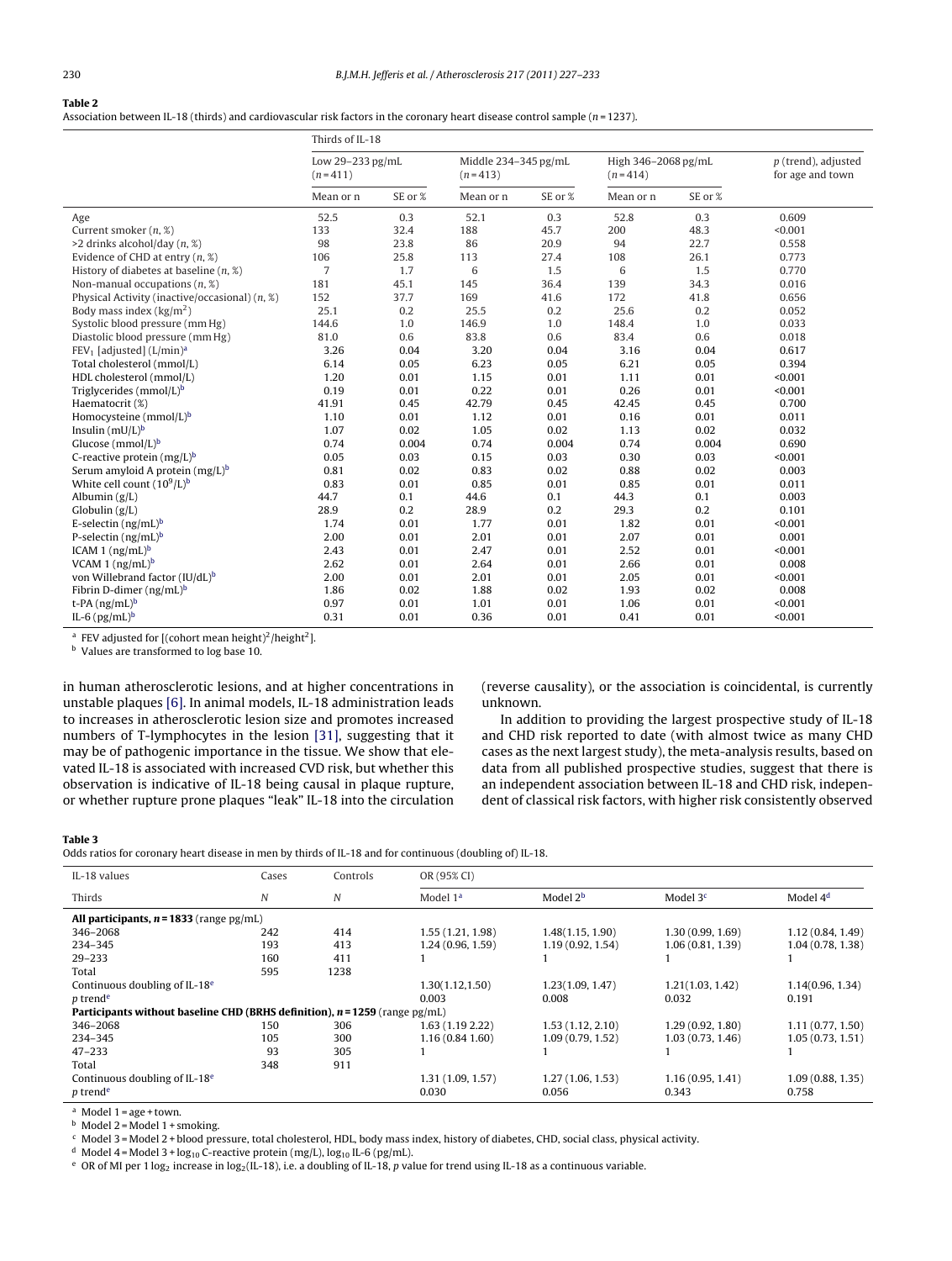### <span id="page-3-0"></span>**Table 2**

Association between IL-18 (thirds) and cardiovascular risk factors in the coronary heart disease control sample ( $n=1237$ ).

|                                                    | Thirds of IL-18               |         |                                   |         |                                  |         |                                           |
|----------------------------------------------------|-------------------------------|---------|-----------------------------------|---------|----------------------------------|---------|-------------------------------------------|
|                                                    | Low 29-233 pg/mL<br>$(n=411)$ |         | Middle 234-345 pg/mL<br>$(n=413)$ |         | High 346-2068 pg/mL<br>$(n=414)$ |         | $p$ (trend), adjusted<br>for age and town |
|                                                    | Mean or n                     | SE or % | Mean or n                         | SE or % | Mean or n                        | SE or % |                                           |
| Age                                                | 52.5                          | 0.3     | 52.1                              | 0.3     | 52.8                             | 0.3     | 0.609                                     |
| Current smoker $(n, \mathcal{X})$                  | 133                           | 32.4    | 188                               | 45.7    | 200                              | 48.3    | < 0.001                                   |
| $>2$ drinks alcohol/day $(n, %$                    | 98                            | 23.8    | 86                                | 20.9    | 94                               | 22.7    | 0.558                                     |
| Evidence of CHD at entry $(n, \mathcal{X})$        | 106                           | 25.8    | 113                               | 27.4    | 108                              | 26.1    | 0.773                                     |
| History of diabetes at baseline $(n, \mathcal{X})$ | $\overline{7}$                | 1.7     | 6                                 | 1.5     | 6                                | 1.5     | 0.770                                     |
| Non-manual occupations $(n, \mathcal{X})$          | 181                           | 45.1    | 145                               | 36.4    | 139                              | 34.3    | 0.016                                     |
| Physical Activity (inactive/occasional) (n, %)     | 152                           | 37.7    | 169                               | 41.6    | 172                              | 41.8    | 0.656                                     |
| Body mass index $\frac{\text{kg}}{m^2}$            | 25.1                          | 0.2     | 25.5                              | 0.2     | 25.6                             | 0.2     | 0.052                                     |
| Systolic blood pressure (mm Hg)                    | 144.6                         | 1.0     | 146.9                             | 1.0     | 148.4                            | 1.0     | 0.033                                     |
| Diastolic blood pressure (mm Hg)                   | 81.0                          | 0.6     | 83.8                              | 0.6     | 83.4                             | 0.6     | 0.018                                     |
| $FEV1$ [adjusted] (L/min) <sup>a</sup>             | 3.26                          | 0.04    | 3.20                              | 0.04    | 3.16                             | 0.04    | 0.617                                     |
| Total cholesterol (mmol/L)                         | 6.14                          | 0.05    | 6.23                              | 0.05    | 6.21                             | 0.05    | 0.394                                     |
| HDL cholesterol (mmol/L)                           | 1.20                          | 0.01    | 1.15                              | 0.01    | 1.11                             | 0.01    | < 0.001                                   |
| Triglycerides (mmol/L) <sup>b</sup>                | 0.19                          | 0.01    | 0.22                              | 0.01    | 0.26                             | 0.01    | < 0.001                                   |
| Haematocrit (%)                                    | 41.91                         | 0.45    | 42.79                             | 0.45    | 42.45                            | 0.45    | 0.700                                     |
| Homocysteine ( $mmol/L$ ) <sup>b</sup>             | 1.10                          | 0.01    | 1.12                              | 0.01    | 0.16                             | 0.01    | 0.011                                     |
| Insulin $(mU/L)^b$                                 | 1.07                          | 0.02    | 1.05                              | 0.02    | 1.13                             | 0.02    | 0.032                                     |
| Glucose ( $mmol/L$ ) <sup>b</sup>                  | 0.74                          | 0.004   | 0.74                              | 0.004   | 0.74                             | 0.004   | 0.690                                     |
| C-reactive protein $(mg/L)^b$                      | 0.05                          | 0.03    | 0.15                              | 0.03    | 0.30                             | 0.03    | < 0.001                                   |
| Serum amyloid A protein $(mg/L)^b$                 | 0.81                          | 0.02    | 0.83                              | 0.02    | 0.88                             | 0.02    | 0.003                                     |
| White cell count $(10^9/L)^b$                      | 0.83                          | 0.01    | 0.85                              | 0.01    | 0.85                             | 0.01    | 0.011                                     |
| Albumin $(g/L)$                                    | 44.7                          | 0.1     | 44.6                              | 0.1     | 44.3                             | 0.1     | 0.003                                     |
| Globulin $(g/L)$                                   | 28.9                          | 0.2     | 28.9                              | 0.2     | 29.3                             | 0.2     | 0.101                                     |
| E-selectin $(ng/mL)^b$                             | 1.74                          | 0.01    | 1.77                              | 0.01    | 1.82                             | 0.01    | < 0.001                                   |
| P-selectin $(ng/mL)^b$                             | 2.00                          | 0.01    | 2.01                              | 0.01    | 2.07                             | 0.01    | 0.001                                     |
| ICAM 1 $(ng/mL)^b$                                 | 2.43                          | 0.01    | 2.47                              | 0.01    | 2.52                             | 0.01    | < 0.001                                   |
| VCAM 1 $(ng/mL)^b$                                 | 2.62                          | 0.01    | 2.64                              | 0.01    | 2.66                             | 0.01    | 0.008                                     |
| von Willebrand factor (IU/dL) <sup>b</sup>         | 2.00                          | 0.01    | 2.01                              | 0.01    | 2.05                             | 0.01    | < 0.001                                   |
| Fibrin D-dimer $(ng/mL)^b$                         | 1.86                          | 0.02    | 1.88                              | 0.02    | 1.93                             | 0.02    | 0.008                                     |
| t-PA $(ng/mL)^b$                                   | 0.97                          | 0.01    | 1.01                              | 0.01    | 1.06                             | 0.01    | < 0.001                                   |
| IL-6 $(pg/mL)^b$                                   | 0.31                          | 0.01    | 0.36                              | 0.01    | 0.41                             | 0.01    | < 0.001                                   |

<sup>a</sup> FEV adjusted for [(cohort mean height)<sup>2</sup>/height<sup>2</sup>].

**b** Values are transformed to log base 10.

in human atherosclerotic lesions, and at higher concentrations in unstable plaques [\[6\]. I](#page-5-0)n animal models, IL-18 administration leads to increases in atherosclerotic lesion size and promotes increased numbers of T-lymphocytes in the lesion [\[31\],](#page-6-0) suggesting that it may be of pathogenic importance in the tissue. We show that elevated IL-18 is associated with increased CVD risk, but whether this observation is indicative of IL-18 being causal in plaque rupture, or whether rupture prone plaques "leak" IL-18 into the circulation (reverse causality), or the association is coincidental, is currently unknown.

In addition to providing the largest prospective study of IL-18 and CHD risk reported to date (with almost twice as many CHD cases as the next largest study), the meta-analysis results, based on data from all published prospective studies, suggest that there is an independent association between IL-18 and CHD risk, independent of classical risk factors, with higher risk consistently observed

#### **Table 3**

Odds ratios for coronary heart disease in men by thirds of IL-18 and for continuous (doubling of) IL-18.

| IL-18 values                                                                  | Cases | Controls | OR (95% CI)          |                      |                  |                      |  |
|-------------------------------------------------------------------------------|-------|----------|----------------------|----------------------|------------------|----------------------|--|
| Thirds                                                                        | N     | N        | Model 1 <sup>a</sup> | Model 2 <sup>b</sup> | Model $3c$       | Model 4 <sup>d</sup> |  |
| All participants, $n = 1833$ (range pg/mL)                                    |       |          |                      |                      |                  |                      |  |
| 346-2068                                                                      | 242   | 414      | 1.55(1.21, 1.98)     | 1.48(1.15, 1.90)     | 1.30(0.99, 1.69) | 1.12 (0.84, 1.49)    |  |
| 234-345                                                                       | 193   | 413      | 1.24(0.96, 1.59)     | 1.19(0.92, 1.54)     | 1.06(0.81, 1.39) | 1.04(0.78, 1.38)     |  |
| $29 - 233$                                                                    | 160   | 411      |                      |                      |                  |                      |  |
| Total                                                                         | 595   | 1238     |                      |                      |                  |                      |  |
| Continuous doubling of IL-18 <sup>e</sup>                                     |       |          | 1.30(1.12, 1.50)     | 1.23(1.09, 1.47)     | 1,21(1,03,1.42)  | 1.14(0.96, 1.34)     |  |
| p trend <sup>e</sup>                                                          |       |          | 0.003                | 0.008                | 0.032            | 0.191                |  |
| Participants without baseline CHD (BRHS definition), $n = 1259$ (range pg/mL) |       |          |                      |                      |                  |                      |  |
| 346-2068                                                                      | 150   | 306      | 1.63 (1.19 2.22)     | 1.53(1.12, 2.10)     | 1.29(0.92, 1.80) | 1.11(0.77, 1.50)     |  |
| 234-345                                                                       | 105   | 300      | 1.16(0.841.60)       | 1.09(0.79, 1.52)     | 1.03(0.73, 1.46) | 1.05(0.73, 1.51)     |  |
| $47 - 233$                                                                    | 93    | 305      |                      |                      |                  |                      |  |
| Total                                                                         | 348   | 911      |                      |                      |                  |                      |  |
| Continuous doubling of IL-18 <sup>e</sup>                                     |       |          | 1.31(1.09, 1.57)     | 1,27(1.06, 1.53)     | 1.16(0.95, 1.41) | 1.09(0.88, 1.35)     |  |
| p trend <sup>e</sup>                                                          |       |          | 0.030                | 0.056                | 0.343            | 0.758                |  |

 $a$  Model 1 = age + town.

 $<sup>b</sup>$  Model 2 = Model 1 + smoking.</sup>

<sup>c</sup> Model 3 = Model 2 + blood pressure, total cholesterol, HDL, body mass index, history of diabetes, CHD, social class, physical activity.

<sup>d</sup> Model 4 = Model 3 +  $log_{10}$  C-reactive protein (mg/L),  $log_{10}$  IL-6 (pg/mL).

e OR of MI per 1 log<sub>2</sub> increase in log<sub>2</sub>(IL-18), i.e. a doubling of IL-18, p value for trend using IL-18 as a continuous variable.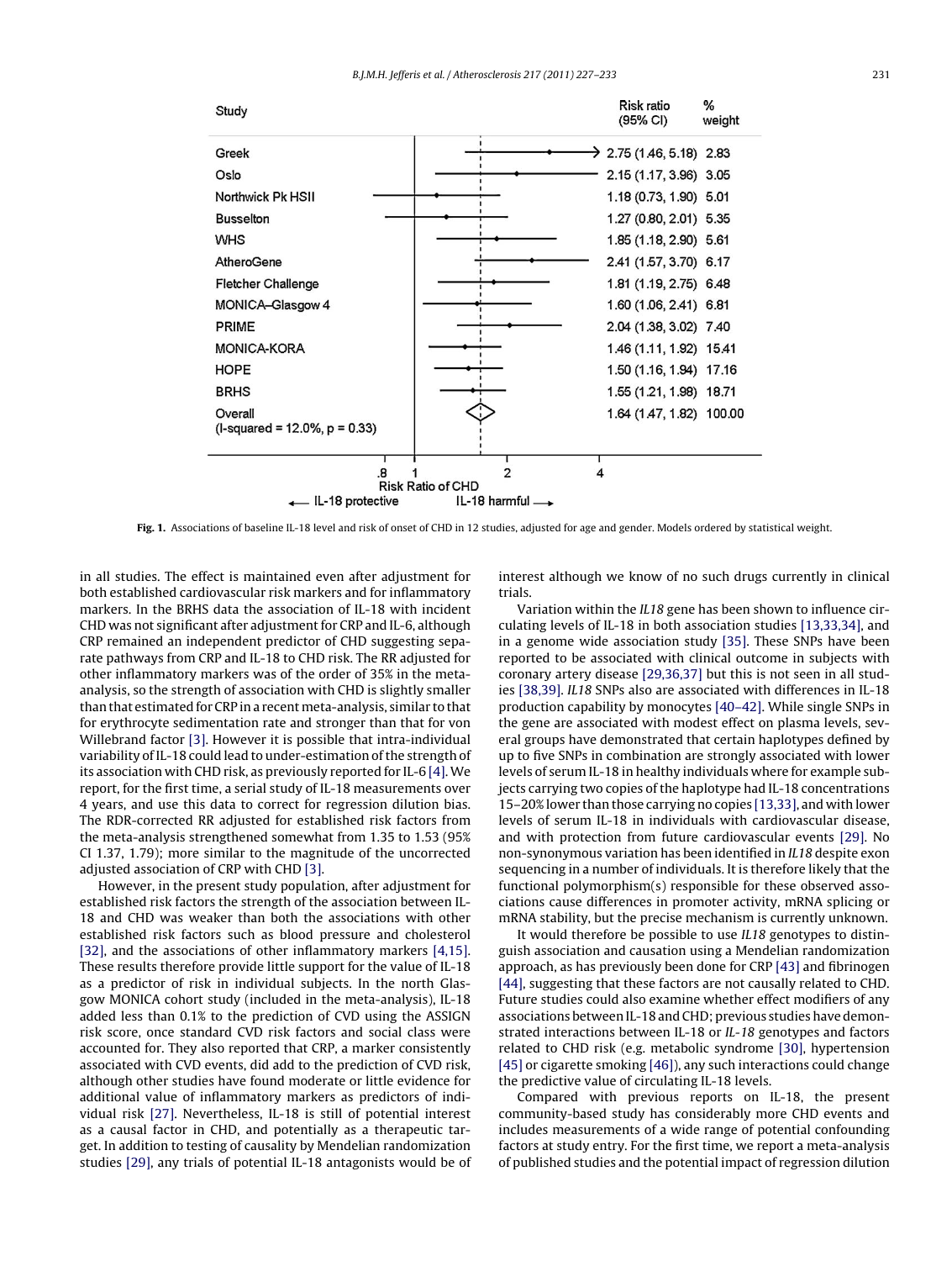<span id="page-4-0"></span>

**Fig. 1.** Associations of baseline IL-18 level and risk of onset of CHD in 12 studies, adjusted for age and gender. Models ordered by statistical weight.

in all studies. The effect is maintained even after adjustment for both established cardiovascular risk markers and for inflammatory markers. In the BRHS data the association of IL-18 with incident CHD was not significant after adjustment for CRP and IL-6, although CRP remained an independent predictor of CHD suggesting separate pathways from CRP and IL-18 to CHD risk. The RR adjusted for other inflammatory markers was of the order of 35% in the metaanalysis, so the strength of association with CHD is slightly smaller than that estimated for CRP in a recentmeta-analysis, similar to that for erythrocyte sedimentation rate and stronger than that for von Willebrand factor [\[3\]. H](#page-5-0)owever it is possible that intra-individual variability of IL-18 could lead to under-estimation of the strength of its association with CHD risk, as previously reported for IL-6 [\[4\]. W](#page-5-0)e report, for the first time, a serial study of IL-18 measurements over 4 years, and use this data to correct for regression dilution bias. The RDR-corrected RR adjusted for established risk factors from the meta-analysis strengthened somewhat from 1.35 to 1.53 (95% CI 1.37, 1.79); more similar to the magnitude of the uncorrected adjusted association of CRP with CHD [\[3\].](#page-5-0)

However, in the present study population, after adjustment for established risk factors the strength of the association between IL-18 and CHD was weaker than both the associations with other established risk factors such as blood pressure and cholesterol [\[32\],](#page-6-0) and the associations of other inflammatory markers [\[4,15\].](#page-5-0) These results therefore provide little support for the value of IL-18 as a predictor of risk in individual subjects. In the north Glasgow MONICA cohort study (included in the meta-analysis), IL-18 added less than 0.1% to the prediction of CVD using the ASSIGN risk score, once standard CVD risk factors and social class were accounted for. They also reported that CRP, a marker consistently associated with CVD events, did add to the prediction of CVD risk, although other studies have found moderate or little evidence for additional value of inflammatory markers as predictors of individual risk [\[27\].](#page-5-0) Nevertheless, IL-18 is still of potential interest as a causal factor in CHD, and potentially as a therapeutic target. In addition to testing of causality by Mendelian randomization studies [\[29\], a](#page-5-0)ny trials of potential IL-18 antagonists would be of interest although we know of no such drugs currently in clinical trials.

Variation within the IL18 gene has been shown to influence circulating levels of IL-18 in both association studies [\[13,33,34\], a](#page-5-0)nd in a genome wide association study [\[35\]. T](#page-6-0)hese SNPs have been reported to be associated with clinical outcome in subjects with coronary artery disease [\[29,36,37\]](#page-5-0) but this is not seen in all studies [\[38,39\].](#page-6-0) IL18 SNPs also are associated with differences in IL-18 production capability by monocytes [\[40–42\]. W](#page-6-0)hile single SNPs in the gene are associated with modest effect on plasma levels, several groups have demonstrated that certain haplotypes defined by up to five SNPs in combination are strongly associated with lower levels of serum IL-18 in healthy individuals where for example subjects carrying two copies of the haplotype had IL-18 concentrations 15–20% lower than those carrying no copies [\[13,33\], a](#page-5-0)nd with lower levels of serum IL-18 in individuals with cardiovascular disease, and with protection from future cardiovascular events [\[29\].](#page-5-0) No non-synonymous variation has been identified in IL18 despite exon sequencing in a number of individuals. It is therefore likely that the functional polymorphism(s) responsible for these observed associations cause differences in promoter activity, mRNA splicing or mRNA stability, but the precise mechanism is currently unknown.

It would therefore be possible to use IL18 genotypes to distinguish association and causation using a Mendelian randomization approach, as has previously been done for CRP [\[43\]](#page-6-0) and fibrinogen [\[44\], s](#page-6-0)uggesting that these factors are not causally related to CHD. Future studies could also examine whether effect modifiers of any associations between IL-18 and CHD; previous studies have demonstrated interactions between IL-18 or IL-18 genotypes and factors related to CHD risk (e.g. metabolic syndrome [\[30\],](#page-5-0) hypertension [\[45\]](#page-6-0) or cigarette smoking [\[46\]\),](#page-6-0) any such interactions could change the predictive value of circulating IL-18 levels.

Compared with previous reports on IL-18, the present community-based study has considerably more CHD events and includes measurements of a wide range of potential confounding factors at study entry. For the first time, we report a meta-analysis of published studies and the potential impact of regression dilution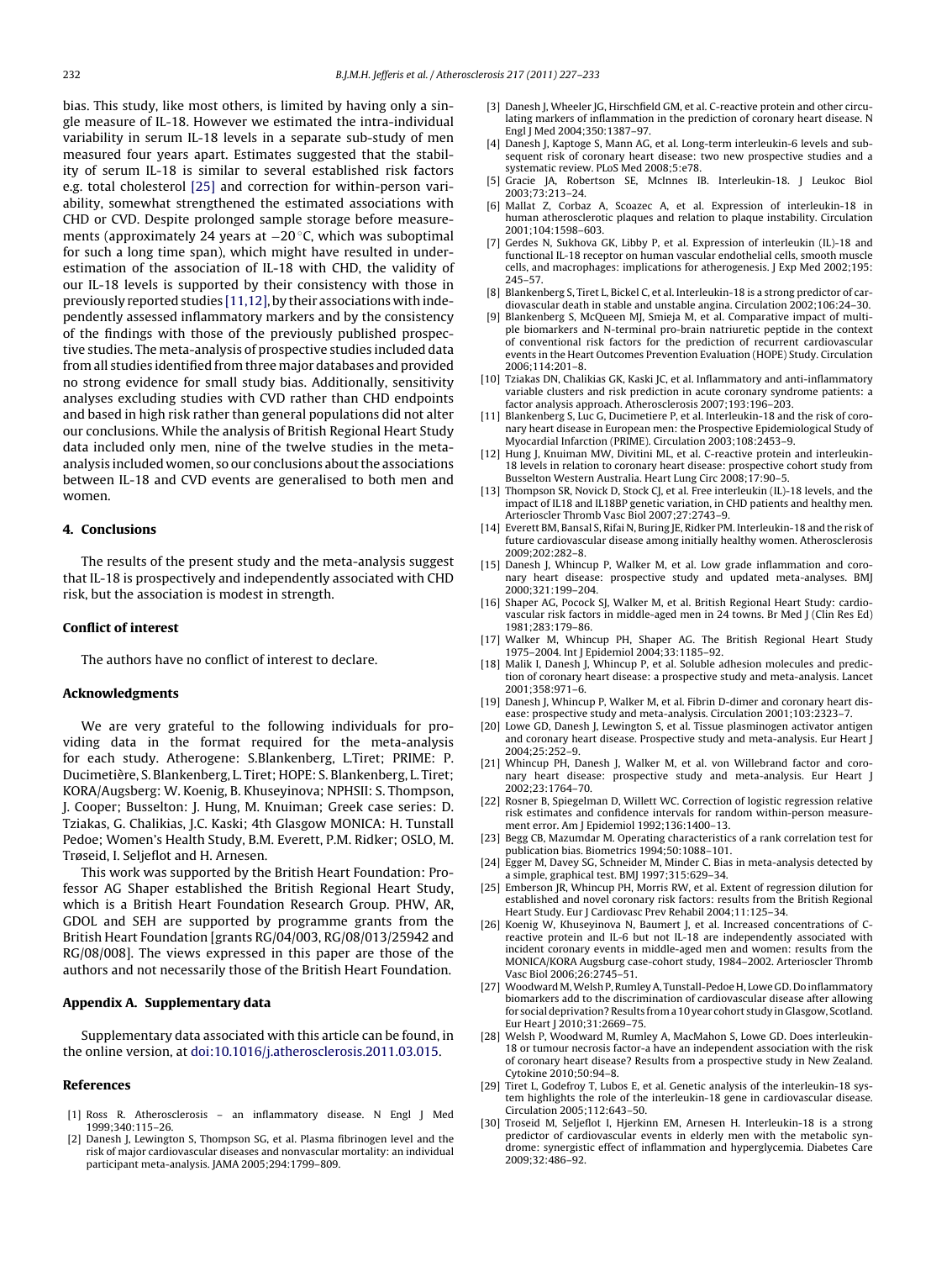<span id="page-5-0"></span>bias. This study, like most others, is limited by having only a single measure of IL-18. However we estimated the intra-individual variability in serum IL-18 levels in a separate sub-study of men measured four years apart. Estimates suggested that the stability of serum IL-18 is similar to several established risk factors e.g. total cholesterol [25] and correction for within-person variability, somewhat strengthened the estimated associations with CHD or CVD. Despite prolonged sample storage before measurements (approximately 24 years at −20 ◦C, which was suboptimal for such a long time span), which might have resulted in underestimation of the association of IL-18 with CHD, the validity of our IL-18 levels is supported by their consistency with those in previously reported studies [11,12], by their associations with independently assessed inflammatory markers and by the consistency of the findings with those of the previously published prospective studies. The meta-analysis of prospective studies included data from all studies identified from three major databases and provided no strong evidence for small study bias. Additionally, sensitivity analyses excluding studies with CVD rather than CHD endpoints and based in high risk rather than general populations did not alter our conclusions. While the analysis of British Regional Heart Study data included only men, nine of the twelve studies in the metaanalysis included women, so our conclusions about the associations between IL-18 and CVD events are generalised to both men and women.

## **4. Conclusions**

The results of the present study and the meta-analysis suggest that IL-18 is prospectively and independently associated with CHD risk, but the association is modest in strength.

## **Conflict of interest**

The authors have no conflict of interest to declare.

## **Acknowledgments**

We are very grateful to the following individuals for providing data in the format required for the meta-analysis for each study. Atherogene: S.Blankenberg, L.Tiret; PRIME: P. Ducimetière, S. Blankenberg, L. Tiret; HOPE: S. Blankenberg, L. Tiret; KORA/Augsberg: W. Koenig, B. Khuseyinova; NPHSII: S. Thompson, J. Cooper; Busselton: J. Hung, M. Knuiman; Greek case series: D. Tziakas, G. Chalikias, J.C. Kaski; 4th Glasgow MONICA: H. Tunstall Pedoe; Women's Health Study, B.M. Everett, P.M. Ridker; OSLO, M. Trøseid, I. Seljeflot and H. Arnesen.

This work was supported by the British Heart Foundation: Professor AG Shaper established the British Regional Heart Study, which is a British Heart Foundation Research Group. PHW, AR, GDOL and SEH are supported by programme grants from the British Heart Foundation [grants RG/04/003, RG/08/013/25942 and RG/08/008]. The views expressed in this paper are those of the authors and not necessarily those of the British Heart Foundation.

### **Appendix A. Supplementary data**

Supplementary data associated with this article can be found, in the online version, at [doi:10.1016/j.atherosclerosis.2011.03.015.](http://dx.doi.org/10.1016/j.atherosclerosis.2011.03.015)

#### **References**

- [1] Ross R. Atherosclerosis an inflammatory disease. N Engl J Med 1999;340:115–26.
- [2] Danesh J, Lewington S, Thompson SG, et al. Plasma fibrinogen level and the risk of major cardiovascular diseases and nonvascular mortality: an individual participant meta-analysis. JAMA 2005;294:1799–809.
- [3] Danesh J, Wheeler JG, Hirschfield GM, et al. C-reactive protein and other circulating markers of inflammation in the prediction of coronary heart disease. N Engl J Med 2004;350:1387–97.
- [4] Danesh J, Kaptoge S, Mann AG, et al. Long-term interleukin-6 levels and subsequent risk of coronary heart disease: two new prospective studies and a systematic review. PLoS Med 2008;5:e78.
- [5] Gracie JA, Robertson SE, McInnes IB. Interleukin-18. J Leukoc Biol 2003;73:213–24.
- [6] Mallat Z, Corbaz A, Scoazec A, et al. Expression of interleukin-18 in human atherosclerotic plaques and relation to plaque instability. Circulation 2001;104:1598–603.
- Gerdes N, Sukhova GK, Libby P, et al. Expression of interleukin (IL)-18 and functional IL-18 receptor on human vascular endothelial cells, smooth muscle cells, and macrophages: implications for atherogenesis. J Exp Med 2002;195: 245–57.
- [8] Blankenberg S, Tiret L, Bickel C, et al. Interleukin-18 is a strong predictor of cardiovascular death in stable and unstable angina. Circulation 2002;106:24–30.
- [9] Blankenberg S, McQueen MJ, Smieja M, et al. Comparative impact of multiple biomarkers and N-terminal pro-brain natriuretic peptide in the context of conventional risk factors for the prediction of recurrent cardiovascular events in the Heart Outcomes Prevention Evaluation (HOPE) Study. Circulation 2006;114:201–8.
- [10] Tziakas DN, Chalikias GK, Kaski JC, et al. Inflammatory and anti-inflammatory variable clusters and risk prediction in acute coronary syndrome patients: a factor analysis approach. Atherosclerosis 2007;193:196–203.
- [11] Blankenberg S, Luc G, Ducimetiere P, et al. Interleukin-18 and the risk of coronary heart disease in European men: the Prospective Epidemiological Study of Myocardial Infarction (PRIME). Circulation 2003;108:2453–9.
- [12] Hung J, Knuiman MW, Divitini ML, et al. C-reactive protein and interleukin-18 levels in relation to coronary heart disease: prospective cohort study from Busselton Western Australia. Heart Lung Circ 2008;17:90–5.
- [13] Thompson SR, Novick D, Stock CJ, et al. Free interleukin (IL)-18 levels, and the impact of IL18 and IL18BP genetic variation, in CHD patients and healthy men. Arterioscler Thromb Vasc Biol 2007;27:2743–9.
- [14] Everett BM, Bansal S, Rifai N, Buring JE, Ridker PM. Interleukin-18 and the risk of future cardiovascular disease among initially healthy women. Atherosclerosis 2009;202:282–8.
- [15] Danesh J, Whincup P, Walker M, et al. Low grade inflammation and coronary heart disease: prospective study and updated meta-analyses. BMJ 2000;321:199–204.
- [16] Shaper AG, Pocock SJ, Walker M, et al. British Regional Heart Study: cardiovascular risk factors in middle-aged men in 24 towns. Br Med J (Clin Res Ed) 1981;283:179–86.
- [17] Walker M, Whincup PH, Shaper AG. The British Regional Heart Study 1975–2004. Int J Epidemiol 2004;33:1185–92.
- [18] Malik I, Danesh J, Whincup P, et al. Soluble adhesion molecules and prediction of coronary heart disease: a prospective study and meta-analysis. Lancet 2001;358:971–6.
- [19] Danesh J, Whincup P, Walker M, et al. Fibrin D-dimer and coronary heart disease: prospective study and meta-analysis. Circulation 2001;103:2323–7.
- [20] Lowe GD, Danesh J, Lewington S, et al. Tissue plasminogen activator antigen and coronary heart disease. Prospective study and meta-analysis. Eur Heart J 2004;25:252–9.
- [21] Whincup PH, Danesh J, Walker M, et al. von Willebrand factor and coronary heart disease: prospective study and meta-analysis. Eur Heart J 2002;23:1764–70.
- [22] Rosner B, Spiegelman D, Willett WC. Correction of logistic regression relative risk estimates and confidence intervals for random within-person measurement error. Am J Epidemiol 1992;136:1400–13.
- [23] Begg CB, Mazumdar M. Operating characteristics of a rank correlation test for publication bias. Biometrics 1994;50:1088–101.
- [24] Egger M, Davey SG, Schneider M, Minder C. Bias in meta-analysis detected by a simple, graphical test. BMJ 1997;315:629–34.
- [25] Emberson JR, Whincup PH, Morris RW, et al. Extent of regression dilution for established and novel coronary risk factors: results from the British Regional Heart Study. Eur J Cardiovasc Prev Rehabil 2004;11:125–34.
- [26] Koenig W, Khuseyinova N, Baumert J, et al. Increased concentrations of Creactive protein and IL-6 but not IL-18 are independently associated with incident coronary events in middle-aged men and women: results from the MONICA/KORA Augsburg case-cohort study, 1984–2002. Arterioscler Thromb Vasc Biol 2006;26:2745–51.
- [27] Woodward M, Welsh P, Rumley A, Tunstall-Pedoe H, Lowe GD. Do inflammatory biomarkers add to the discrimination of cardiovascular disease after allowing for social deprivation? Results from a 10 year cohort study in Glasgow, Scotland. Eur Heart J 2010;31:2669–75.
- [28] Welsh P, Woodward M, Rumley A, MacMahon S, Lowe GD. Does interleukin-18 or tumour necrosis factor-a have an independent association with the risk of coronary heart disease? Results from a prospective study in New Zealand. Cytokine 2010;50:94–8.
- [29] Tiret L, Godefroy T, Lubos E, et al. Genetic analysis of the interleukin-18 system highlights the role of the interleukin-18 gene in cardiovascular disease. Circulation 2005;112:643–50.
- [30] Troseid M, Seljeflot I, Hjerkinn EM, Arnesen H. Interleukin-18 is a strong predictor of cardiovascular events in elderly men with the metabolic syndrome: synergistic effect of inflammation and hyperglycemia. Diabetes Care 2009;32:486–92.